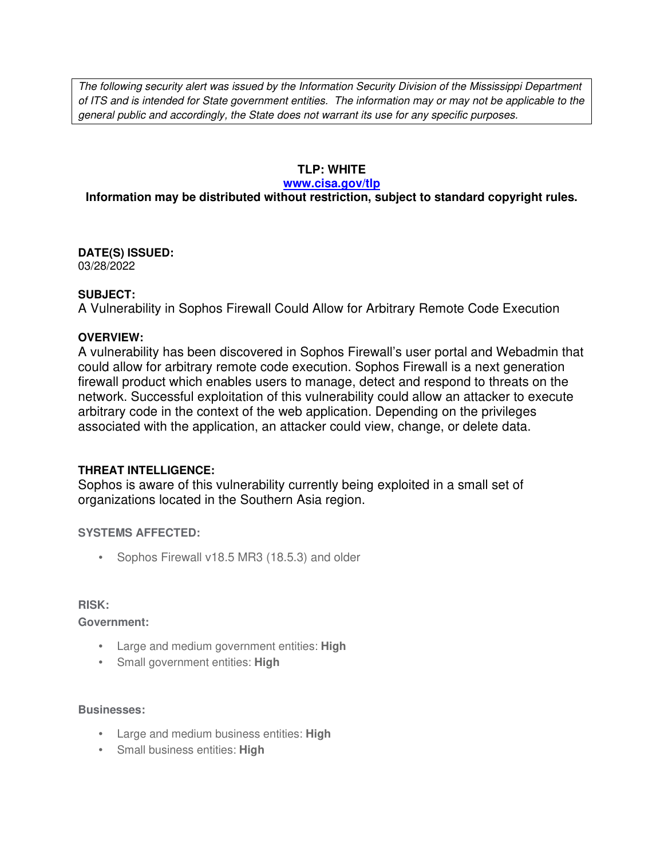The following security alert was issued by the Information Security Division of the Mississippi Department of ITS and is intended for State government entities. The information may or may not be applicable to the general public and accordingly, the State does not warrant its use for any specific purposes.

# **TLP: WHITE**

#### **www.cisa.gov/tlp**

# **Information may be distributed without restriction, subject to standard copyright rules.**

**DATE(S) ISSUED:** 03/28/2022

### **SUBJECT:**

A Vulnerability in Sophos Firewall Could Allow for Arbitrary Remote Code Execution

### **OVERVIEW:**

A vulnerability has been discovered in Sophos Firewall's user portal and Webadmin that could allow for arbitrary remote code execution. Sophos Firewall is a next generation firewall product which enables users to manage, detect and respond to threats on the network. Successful exploitation of this vulnerability could allow an attacker to execute arbitrary code in the context of the web application. Depending on the privileges associated with the application, an attacker could view, change, or delete data.

## **THREAT INTELLIGENCE:**

Sophos is aware of this vulnerability currently being exploited in a small set of organizations located in the Southern Asia region.

## **SYSTEMS AFFECTED:**

• Sophos Firewall v18.5 MR3 (18.5.3) and older

#### **RISK:**

**Government:**

- Large and medium government entities: **High**
- Small government entities: **High**

#### **Businesses:**

- Large and medium business entities: **High**
- Small business entities: **High**